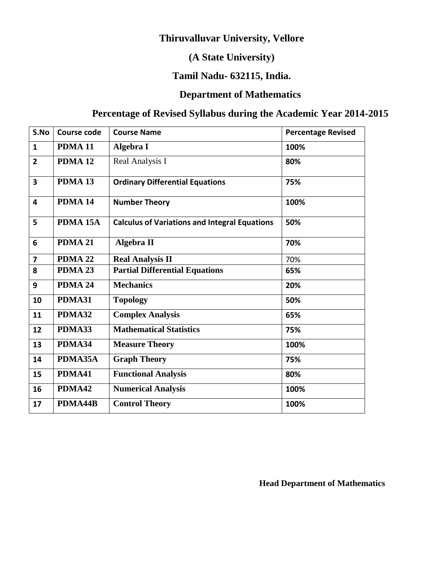# **Thiruvalluvar University, Vellore**

# **(A State University)**

# **Tamil Nadu- 632115, India.**

# **Department of Mathematics**

# **Percentage of Revised Syllabus during the Academic Year 2014-2015**

| S.No                    | <b>Course code</b>  | <b>Course Name</b>                                   | <b>Percentage Revised</b> |
|-------------------------|---------------------|------------------------------------------------------|---------------------------|
| $\mathbf{1}$            | PDMA <sub>11</sub>  | Algebra I                                            | 100%                      |
| $\overline{2}$          | PDMA <sub>12</sub>  | Real Analysis I                                      | 80%                       |
| $\overline{\mathbf{3}}$ | PDMA <sub>13</sub>  | <b>Ordinary Differential Equations</b>               | 75%                       |
| 4                       | PDMA 14             | <b>Number Theory</b>                                 | 100%                      |
| 5                       | PDMA <sub>15A</sub> | <b>Calculus of Variations and Integral Equations</b> | 50%                       |
| 6                       | PDMA 21             | <b>Algebra II</b>                                    | 70%                       |
| $\overline{\mathbf{z}}$ | PDMA 22             | <b>Real Analysis II</b>                              | 70%                       |
| 8                       | PDMA 23             | <b>Partial Differential Equations</b>                | 65%                       |
| 9                       | PDMA 24             | <b>Mechanics</b>                                     | 20%                       |
| 10                      | PDMA31              | <b>Topology</b>                                      | 50%                       |
| 11                      | PDMA32              | <b>Complex Analysis</b>                              | 65%                       |
| 12                      | PDMA33              | <b>Mathematical Statistics</b>                       | 75%                       |
| 13                      | PDMA34              | <b>Measure Theory</b>                                | 100%                      |
| 14                      | PDMA35A             | <b>Graph Theory</b>                                  | 75%                       |
| 15                      | PDMA41              | <b>Functional Analysis</b>                           | 80%                       |
| 16                      | PDMA42              | <b>Numerical Analysis</b>                            | 100%                      |
| 17                      | PDMA44B             | <b>Control Theory</b>                                | 100%                      |

**Head Department of Mathematics**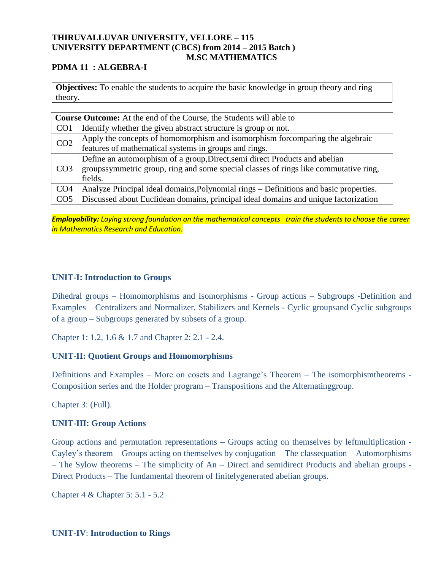#### **THIRUVALLUVAR UNIVERSITY, VELLORE – 115 UNIVERSITY DEPARTMENT (CBCS) from 2014 – 2015 Batch ) M.SC MATHEMATICS**

#### **PDMA 11 : ALGEBRA-I**

**Objectives:** To enable the students to acquire the basic knowledge in group theory and ring theory.

| <b>Course Outcome:</b> At the end of the Course, the Students will able to |                                                                                       |  |
|----------------------------------------------------------------------------|---------------------------------------------------------------------------------------|--|
| CO <sub>1</sub>                                                            | Identify whether the given abstract structure is group or not.                        |  |
| CO <sub>2</sub>                                                            | Apply the concepts of homomorphism and isomorphism for comparing the algebraic        |  |
|                                                                            | features of mathematical systems in groups and rings.                                 |  |
|                                                                            | Define an automorphism of a group, Direct, semi direct Products and abelian           |  |
| CO <sub>3</sub>                                                            | groupssymmetric group, ring and some special classes of rings like commutative ring,  |  |
|                                                                            | fields.                                                                               |  |
| CO <sub>4</sub>                                                            | Analyze Principal ideal domains, Polynomial rings – Definitions and basic properties. |  |
| CO <sub>5</sub>                                                            | Discussed about Euclidean domains, principal ideal domains and unique factorization   |  |

*Employability: Laying strong foundation on the mathematical concepts train the students to choose the career in Mathematics Research and Education.*

#### **UNIT-I: Introduction to Groups**

Dihedral groups – Homomorphisms and Isomorphisms - Group actions – Subgroups -Definition and Examples – Centralizers and Normalizer, Stabilizers and Kernels - Cyclic groupsand Cyclic subgroups of a group – Subgroups generated by subsets of a group.

Chapter 1: 1.2, 1.6 & 1.7 and Chapter 2: 2.1 - 2.4.

#### **UNIT-II: Quotient Groups and Homomorphisms**

Definitions and Examples – More on cosets and Lagrange's Theorem – The isomorphismtheorems - Composition series and the Holder program – Transpositions and the Alternatinggroup.

Chapter 3: (Full).

## **UNIT-III: Group Actions**

Group actions and permutation representations – Groups acting on themselves by leftmultiplication - Cayley's theorem – Groups acting on themselves by conjugation – The classequation – Automorphisms – The Sylow theorems – The simplicity of An – Direct and semidirect Products and abelian groups - Direct Products – The fundamental theorem of finitelygenerated abelian groups.

Chapter 4 & Chapter 5: 5.1 - 5.2

**UNIT-IV**: **Introduction to Rings**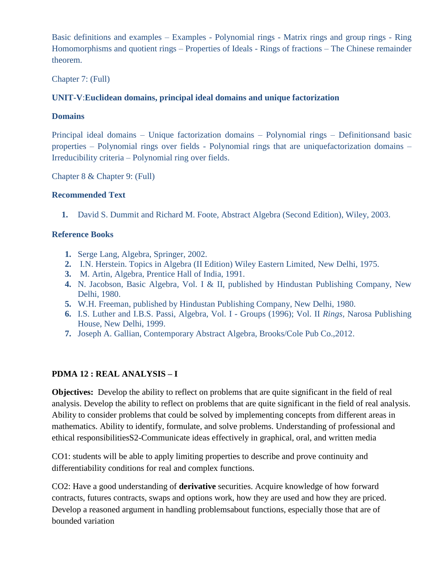Basic definitions and examples – Examples - Polynomial rings - Matrix rings and group rings - Ring Homomorphisms and quotient rings – Properties of Ideals - Rings of fractions – The Chinese remainder theorem.

Chapter 7: (Full)

## **UNIT-V**:**Euclidean domains, principal ideal domains and unique factorization**

#### **Domains**

Principal ideal domains – Unique factorization domains – Polynomial rings – Definitionsand basic properties – Polynomial rings over fields - Polynomial rings that are uniquefactorization domains – Irreducibility criteria – Polynomial ring over fields.

Chapter 8 & Chapter 9: (Full)

#### **Recommended Text**

**1.** David S. Dummit and Richard M. Foote, Abstract Algebra (Second Edition), Wiley, 2003.

#### **Reference Books**

- **1.** Serge Lang, Algebra, Springer, 2002.
- **2.** I.N. Herstein. Topics in Algebra (II Edition) Wiley Eastern Limited, New Delhi, 1975.
- **3.** M. Artin, Algebra*,* Prentice Hall of India, 1991.
- **4.** N. Jacobson, Basic Algebra*,* Vol. I & II, published by Hindustan Publishing Company, New Delhi, 1980.
- **5.** W.H. Freeman, published by Hindustan Publishing Company, New Delhi, 1980.
- **6.** I.S. Luther and I.B.S. Passi, Algebra, Vol. I Groups (1996); Vol. II *Rings,* Narosa Publishing House, New Delhi, 1999.
- **7.** Joseph A. Gallian, Contemporary Abstract Algebra, Brooks/Cole Pub Co.,2012.

## **PDMA 12 : REAL ANALYSIS – I**

**Objectives:** Develop the ability to reflect on problems that are quite significant in the field of real analysis. Develop the ability to reflect on problems that are quite significant in the field of real analysis. Ability to consider problems that could be solved by implementing concepts from different areas in mathematics. Ability to identify, formulate, and solve problems. Understanding of professional and ethical responsibilitiesS2-Communicate ideas effectively in graphical, oral, and written media

CO1: students will be able to apply limiting properties to describe and prove continuity and differentiability conditions for real and complex functions.

CO2: Have a good understanding of **derivative** securities. Acquire knowledge of how forward contracts, futures contracts, swaps and options work, how they are used and how they are priced. Develop a reasoned argument in handling problemsabout functions, especially those that are of bounded variation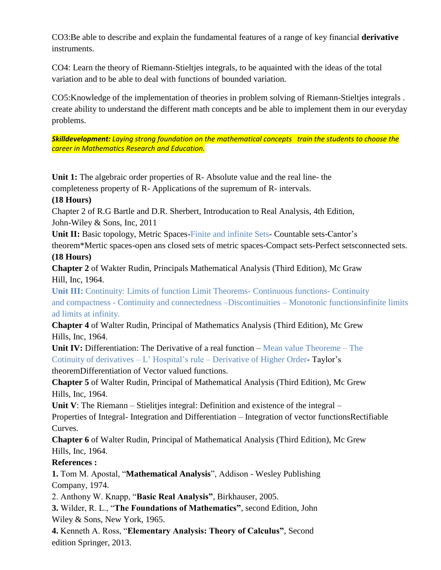CO3:Be able to describe and explain the fundamental features of a range of key financial **derivative** instruments.

CO4: Learn the theory of Riemann-Stieltjes integrals, to be aquainted with the ideas of the total variation and to be able to deal with functions of bounded variation.

CO5:Knowledge of the implementation of theories in problem solving of Riemann-Stieltjes integrals . create ability to understand the different math concepts and be able to implement them in our everyday problems.

*Skilldevelopment: Laying strong foundation on the mathematical concepts train the students to choose the career in Mathematics Research and Education.*

**Unit 1:** The algebraic order properties of R- Absolute value and the real line- the completeness property of R- Applications of the supremum of R- intervals.

## **(18 Hours)**

Chapter 2 of R.G Bartle and D.R. Sherbert, Introducation to Real Analysis, 4th Edition, John-Wiley & Sons, Inc, 2011

**Unit II:** Basic topology, Metric Spaces-Finite and infinite Sets- Countable sets-Cantor's

theorem\*Mertic spaces-open ans closed sets of metric spaces-Compact sets-Perfect setsconnected sets.

## **(18 Hours)**

**Chapter 2** of Wakter Rudin, Principals Mathematical Analysis (Third Edition), Mc Graw Hill, Inc, 1964.

**Unit III:** Continuity: Limits of function Limit Theorems- Continuous functions- Continuity and compactness - Continuity and connectedness –Discontinuities – Monotonic functionsinfinite limits ad limits at infinity.

**Chapter 4** of Walter Rudin, Principal of Mathematics Analysis (Third Edition), Mc Grew Hills, Inc, 1964.

**Unit IV:** Differentiation: The Derivative of a real function – Mean value Theoreme – The Cotinuity of derivatives  $-L'$  Hospital's rule – Derivative of Higher Order-Taylor's theoremDifferentiation of Vector valued functions.

**Chapter 5** of Walter Rudin, Principal of Mathematical Analysis (Third Edition), Mc Grew Hills, Inc, 1964.

**Unit V**: The Riemann – Stielitjes integral: Definition and existence of the integral – Properties of Integral- Integration and Differentiation – Integration of vector functionsRectifiable Curves.

**Chapter 6** of Walter Rudin, Principal of Mathematical Analysis (Third Edition), Mc Grew Hills, Inc, 1964.

## **References :**

**1.** Tom M. Apostal, "**Mathematical Analysis**", Addison - Wesley Publishing Company, 1974.

2. Anthony W. Knapp, "**Basic Real Analysis"**, Birkhauser, 2005.

**3.** Wilder, R. L., "**The Foundations of Mathematics"**, second Edition, John Wiley & Sons, New York, 1965.

**4.** Kenneth A. Ross, "**Elementary Analysis: Theory of Calculus"**, Second edition Springer, 2013.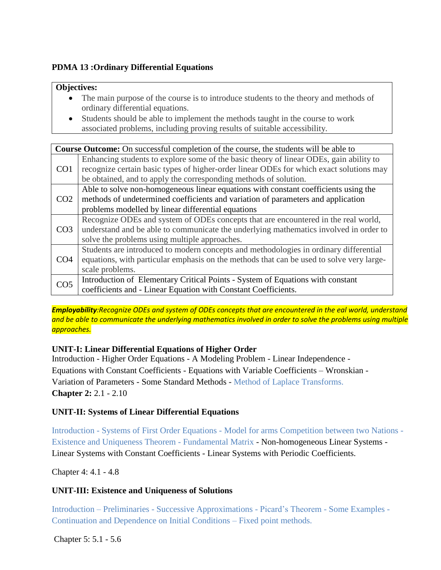## **PDMA 13 :Ordinary Differential Equations**

#### **Objectives:**

- The main purpose of the course is to introduce students to the theory and methods of ordinary differential equations.
- Students should be able to implement the methods taught in the course to work associated problems, including proving results of suitable accessibility.

|                 | <b>Course Outcome:</b> On successful completion of the course, the students will be able to |  |  |
|-----------------|---------------------------------------------------------------------------------------------|--|--|
|                 | Enhancing students to explore some of the basic theory of linear ODEs, gain ability to      |  |  |
| CO <sub>1</sub> | recognize certain basic types of higher-order linear ODEs for which exact solutions may     |  |  |
|                 | be obtained, and to apply the corresponding methods of solution.                            |  |  |
|                 | Able to solve non-homogeneous linear equations with constant coefficients using the         |  |  |
| CO <sub>2</sub> | methods of undetermined coefficients and variation of parameters and application            |  |  |
|                 | problems modelled by linear differential equations                                          |  |  |
|                 | Recognize ODEs and system of ODEs concepts that are encountered in the real world,          |  |  |
| CO <sub>3</sub> | understand and be able to communicate the underlying mathematics involved in order to       |  |  |
|                 | solve the problems using multiple approaches.                                               |  |  |
|                 | Students are introduced to modern concepts and methodologies in ordinary differential       |  |  |
| CO <sub>4</sub> | equations, with particular emphasis on the methods that can be used to solve very large-    |  |  |
|                 | scale problems.                                                                             |  |  |
| CO <sub>5</sub> | Introduction of Elementary Critical Points - System of Equations with constant              |  |  |
|                 | coefficients and - Linear Equation with Constant Coefficients.                              |  |  |

*Employability:Recognize ODEs and system of ODEs concepts that are encountered in the eal world, understand and be able to communicate the underlying mathematics involved in order to solve the problems using multiple approaches.*

## **UNIT-I: Linear Differential Equations of Higher Order**

Introduction - Higher Order Equations - A Modeling Problem - Linear Independence - Equations with Constant Coefficients - Equations with Variable Coefficients – Wronskian - Variation of Parameters - Some Standard Methods - Method of Laplace Transforms. **Chapter 2:** 2.1 - 2.10

## **UNIT-II: Systems of Linear Differential Equations**

Introduction - Systems of First Order Equations - Model for arms Competition between two Nations - Existence and Uniqueness Theorem - Fundamental Matrix - Non-homogeneous Linear Systems - Linear Systems with Constant Coefficients - Linear Systems with Periodic Coefficients.

Chapter 4: 4.1 - 4.8

## **UNIT-III: Existence and Uniqueness of Solutions**

Introduction – Preliminaries - Successive Approximations - Picard's Theorem - Some Examples - Continuation and Dependence on Initial Conditions – Fixed point methods.

Chapter 5: 5.1 - 5.6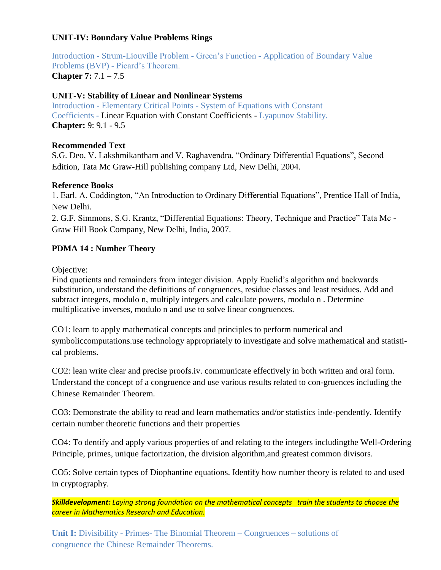## **UNIT-IV: Boundary Value Problems Rings**

Introduction - Strum-Liouville Problem - Green's Function - Application of Boundary Value Problems (BVP) - Picard's Theorem. **Chapter 7:** 7.1 – 7.5

#### **UNIT-V: Stability of Linear and Nonlinear Systems**

Introduction - Elementary Critical Points - System of Equations with Constant Coefficients - Linear Equation with Constant Coefficients - Lyapunov Stability. **Chapter:** 9: 9.1 - 9.5

#### **Recommended Text**

S.G. Deo, V. Lakshmikantham and V. Raghavendra, "Ordinary Differential Equations", Second Edition, Tata Mc Graw-Hill publishing company Ltd, New Delhi, 2004.

#### **Reference Books**

1. Earl. A. Coddington, "An Introduction to Ordinary Differential Equations", Prentice Hall of India, New Delhi.

2. G.F. Simmons, S.G. Krantz, "Differential Equations: Theory, Technique and Practice" Tata Mc - Graw Hill Book Company, New Delhi, India, 2007.

## **PDMA 14 : Number Theory**

Objective:

Find quotients and remainders from integer division. Apply Euclid's algorithm and backwards substitution, understand the definitions of congruences, residue classes and least residues. Add and subtract integers, modulo n, multiply integers and calculate powers, modulo n . Determine multiplicative inverses, modulo n and use to solve linear congruences.

CO1: learn to apply mathematical concepts and principles to perform numerical and symboliccomputations.use technology appropriately to investigate and solve mathematical and statistical problems.

CO2: lean write clear and precise proofs.iv. communicate effectively in both written and oral form. Understand the concept of a congruence and use various results related to con-gruences including the Chinese Remainder Theorem.

CO3: Demonstrate the ability to read and learn mathematics and/or statistics inde-pendently. Identify certain number theoretic functions and their properties

CO4: To dentify and apply various properties of and relating to the integers includingthe Well-Ordering Principle, primes, unique factorization, the division algorithm,and greatest common divisors.

CO5: Solve certain types of Diophantine equations. Identify how number theory is related to and used in cryptography.

*Skilldevelopment: Laying strong foundation on the mathematical concepts train the students to choose the career in Mathematics Research and Education.*

**Unit I:** Divisibility - Primes- The Binomial Theorem – Congruences – solutions of congruence the Chinese Remainder Theorems.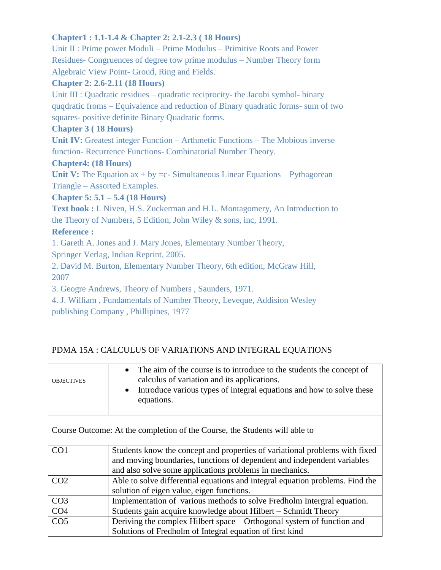## **Chapter1 : 1.1-1.4 & Chapter 2: 2.1-2.3 ( 18 Hours)**

Unit II : Prime power Moduli – Prime Modulus – Primitive Roots and Power Residues- Congruences of degree tow prime modulus – Number Theory form Algebraic View Point- Groud, Ring and Fields.

## **Chapter 2: 2.6-2.11 (18 Hours)**

Unit III : Quadratic residues – quadratic reciprocity- the Jacobi symbol- binary quqdratic froms – Equivalence and reduction of Binary quadratic forms- sum of two squares- positive definite Binary Quadratic forms.

## **Chapter 3 ( 18 Hours)**

**Unit IV:** Greatest integer Function – Arthmetic Functions – The Mobious inverse function- Recurrence Functions- Combinatorial Number Theory.

## **Chapter4: (18 Hours)**

**Unit V:** The Equation  $ax + by =c$ - Simultaneous Linear Equations – Pythagorean Triangle – Assorted Examples.

## **Chapter 5: 5.1 – 5.4 (18 Hours)**

Text book : I. Niven, H.S. Zuckerman and H.L. Montagomery, An Introduction to the Theory of Numbers, 5 Edition, John Wiley & sons, inc, 1991.

## **Reference :**

1. Gareth A. Jones and J. Mary Jones, Elementary Number Theory,

Springer Verlag, Indian Reprint, 2005.

2. David M. Burton, Elementary Number Theory, 6th edition, McGraw Hill, 2007

3. Geogre Andrews, Theory of Numbers , Saunders, 1971.

4. J. William , Fundamentals of Number Theory, Leveque, Addision Wesley publishing Company , Phillipines, 1977

# PDMA 15A : CALCULUS OF VARIATIONS AND INTEGRAL EQUATIONS

| <b>OBJECTIVES</b> | The aim of the course is to introduce to the students the concept of<br>$\bullet$<br>calculus of variation and its applications.<br>Introduce various types of integral equations and how to solve these<br>$\bullet$<br>equations. |
|-------------------|-------------------------------------------------------------------------------------------------------------------------------------------------------------------------------------------------------------------------------------|
|                   | Course Outcome: At the completion of the Course, the Students will able to                                                                                                                                                          |
| CO <sub>1</sub>   | Students know the concept and properties of variational problems with fixed                                                                                                                                                         |
|                   | and moving boundaries, functions of dependent and independent variables                                                                                                                                                             |
|                   | and also solve some applications problems in mechanics.                                                                                                                                                                             |
| CO <sub>2</sub>   | Able to solve differential equations and integral equation problems. Find the                                                                                                                                                       |
|                   | solution of eigen value, eigen functions.                                                                                                                                                                                           |
| CO <sub>3</sub>   | Implementation of various methods to solve Fredholm Intergral equation.                                                                                                                                                             |
| CO <sub>4</sub>   | Students gain acquire knowledge about Hilbert – Schmidt Theory                                                                                                                                                                      |
| CO <sub>5</sub>   | Deriving the complex Hilbert space – Orthogonal system of function and                                                                                                                                                              |
|                   | Solutions of Fredholm of Integral equation of first kind                                                                                                                                                                            |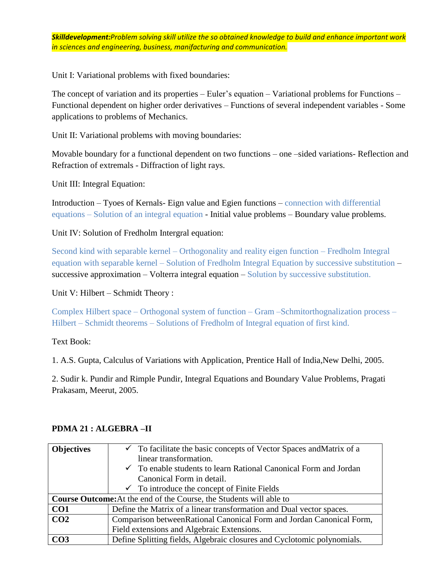*Skilldevelopment:Problem solving skill utilize the so obtained knowledge to build and enhance important work in sciences and engineering, business, manifacturing and communication.*

Unit I: Variational problems with fixed boundaries:

The concept of variation and its properties – Euler's equation – Variational problems for Functions – Functional dependent on higher order derivatives – Functions of several independent variables - Some applications to problems of Mechanics.

Unit II: Variational problems with moving boundaries:

Movable boundary for a functional dependent on two functions – one –sided variations- Reflection and Refraction of extremals - Diffraction of light rays.

Unit III: Integral Equation:

Introduction – Tyoes of Kernals- Eign value and Egien functions – connection with differential equations – Solution of an integral equation - Initial value problems – Boundary value problems.

Unit IV: Solution of Fredholm Intergral equation:

Second kind with separable kernel – Orthogonality and reality eigen function – Fredholm Integral equation with separable kernel – Solution of Fredholm Integral Equation by successive substitution – successive approximation – Volterra integral equation – Solution by successive substitution.

Unit V: Hilbert – Schmidt Theory :

Complex Hilbert space – Orthogonal system of function – Gram –Schmitorthognalization process – Hilbert – Schmidt theorems – Solutions of Fredholm of Integral equation of first kind.

Text Book:

1. A.S. Gupta, Calculus of Variations with Application, Prentice Hall of India,New Delhi, 2005.

2. Sudir k. Pundir and Rimple Pundir, Integral Equations and Boundary Value Problems, Pragati Prakasam, Meerut, 2005.

| <b>Objectives</b> | $\checkmark$ To facilitate the basic concepts of Vector Spaces and Matrix of a |
|-------------------|--------------------------------------------------------------------------------|
|                   | linear transformation.                                                         |
|                   | $\checkmark$ To enable students to learn Rational Canonical Form and Jordan    |
|                   | Canonical Form in detail.                                                      |
|                   | $\checkmark$ To introduce the concept of Finite Fields                         |
|                   | <b>Course Outcome:</b> At the end of the Course, the Students will able to     |
| CO <sub>1</sub>   | Define the Matrix of a linear transformation and Dual vector spaces.           |
| CO <sub>2</sub>   | Comparison between Rational Canonical Form and Jordan Canonical Form,          |
|                   | Field extensions and Algebraic Extensions.                                     |
| CO <sub>3</sub>   | Define Splitting fields, Algebraic closures and Cyclotomic polynomials.        |

#### **PDMA 21 : ALGEBRA –II**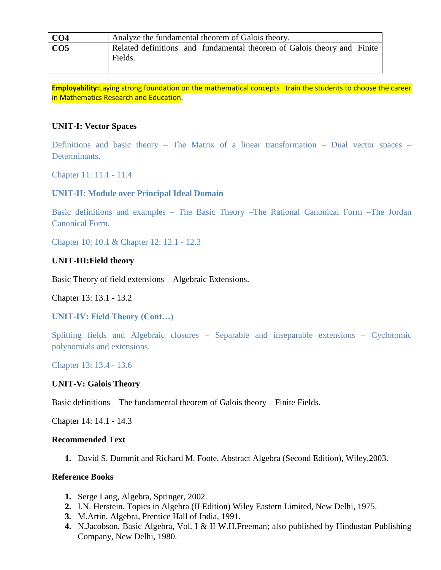| CO <sub>4</sub> | Analyze the fundamental theorem of Galois theory.                                  |
|-----------------|------------------------------------------------------------------------------------|
| CO <sub>5</sub> | Related definitions and fundamental theorem of Galois theory and Finite<br>Fields. |

**Employability:**Laying strong foundation on the mathematical concepts train the students to choose the career in Mathematics Research and Education.

#### **UNIT-I: Vector Spaces**

Definitions and basic theory – The Matrix of a linear transformation – Dual vector spaces – Determinants.

Chapter 11: 11.1 - 11.4

#### **UNIT-II: Module over Principal Ideal Domain**

Basic definitions and examples – The Basic Theory –The Rational Canonical Form –The Jordan Canonical Form.

Chapter 10: 10.1 & Chapter 12: 12.1 - 12.3

#### **UNIT-III:Field theory**

Basic Theory of field extensions – Algebraic Extensions.

Chapter 13: 13.1 - 13.2

**UNIT-IV: Field Theory (Cont…)**

Splitting fields and Algebraic closures – Separable and inseparable extensions – Cyclotomic polynomials and extensions.

Chapter 13: 13.4 - 13.6

#### **UNIT-V: Galois Theory**

Basic definitions – The fundamental theorem of Galois theory – Finite Fields.

Chapter 14: 14.1 - 14.3

#### **Recommended Text**

**1.** David S. Dummit and Richard M. Foote, Abstract Algebra (Second Edition), Wiley,2003.

#### **Reference Books**

- **1.** Serge Lang, Algebra*,* Springer, 2002.
- **2.** I.N. Herstein. Topics in Algebra (II Edition) Wiley Eastern Limited, New Delhi, 1975.
- **3.** M.Artin, Algebra*,* Prentice Hall of India, 1991.
- **4.** N.Jacobson, Basic Algebra, Vol. I & II W.H.Freeman; also published by Hindustan Publishing Company, New Delhi, 1980.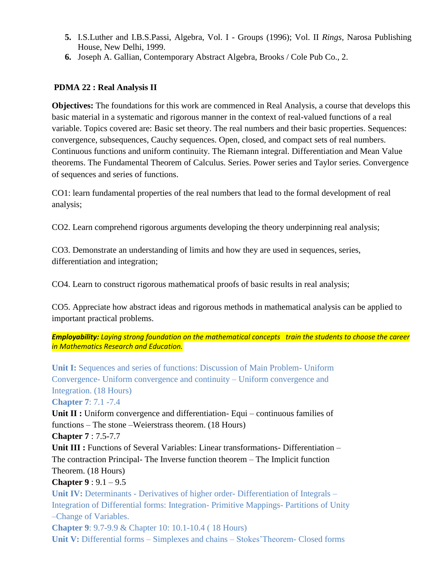- **5.** I.S.Luther and I.B.S.Passi, Algebra, Vol. I Groups (1996); Vol. II *Rings,* Narosa Publishing House, New Delhi, 1999.
- **6.** Joseph A. Gallian, Contemporary Abstract Algebra, Brooks / Cole Pub Co., 2.

## **PDMA 22 : Real Analysis II**

**Objectives:** The foundations for this work are commenced in Real Analysis, a course that develops this basic material in a systematic and rigorous manner in the context of real-valued functions of a real variable. Topics covered are: Basic set theory. The real numbers and their basic properties. Sequences: convergence, subsequences, Cauchy sequences. Open, closed, and compact sets of real numbers. Continuous functions and uniform continuity. The Riemann integral. Differentiation and Mean Value theorems. The Fundamental Theorem of Calculus. Series. Power series and Taylor series. Convergence of sequences and series of functions.

CO1: learn fundamental properties of the real numbers that lead to the formal development of real analysis;

CO2. Learn comprehend rigorous arguments developing the theory underpinning real analysis;

CO3. Demonstrate an understanding of limits and how they are used in sequences, series, differentiation and integration;

CO4. Learn to construct rigorous mathematical proofs of basic results in real analysis;

CO5. Appreciate how abstract ideas and rigorous methods in mathematical analysis can be applied to important practical problems.

*Employability: Laying strong foundation on the mathematical concepts train the students to choose the career in Mathematics Research and Education.*

**Unit I:** Sequences and series of functions: Discussion of Main Problem- Uniform Convergence- Uniform convergence and continuity – Uniform convergence and Integration. (18 Hours)

**Chapter 7**: 7.1 -7.4

**Unit II :** Uniform convergence and differentiation- Equi – continuous families of functions – The stone –Weierstrass theorem. (18 Hours)

**Chapter 7** : 7.5-7.7

Unit III : Functions of Several Variables: Linear transformations- Differentiation – The contraction Principal- The Inverse function theorem – The Implicit function Theorem. (18 Hours)

**Chapter 9** : 9.1 – 9.5

**Unit IV:** Determinants - Derivatives of higher order- Differentiation of Integrals – Integration of Differential forms: Integration- Primitive Mappings- Partitions of Unity –Change of Variables.

**Chapter 9**: 9.7-9.9 & Chapter 10: 10.1-10.4 ( 18 Hours) **Unit V:** Differential forms – Simplexes and chains – Stokes'Theorem- Closed forms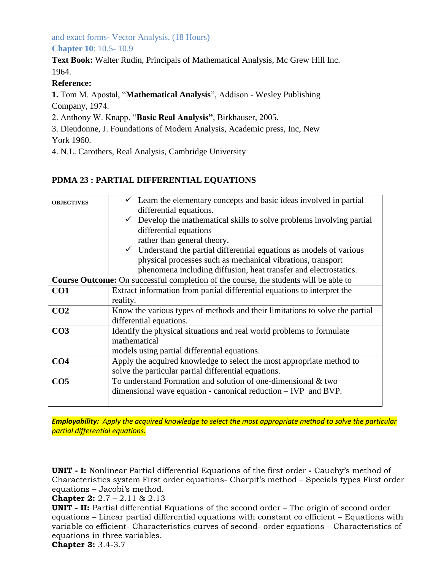and exact forms- Vector Analysis. (18 Hours) **Chapter 10**: 10.5- 10.9

**Text Book:** Walter Rudin, Principals of Mathematical Analysis, Mc Grew Hill Inc. 1964.

## **Reference:**

**1.** Tom M. Apostal, "**Mathematical Analysis**", Addison - Wesley Publishing Company, 1974.

2. Anthony W. Knapp, "**Basic Real Analysis"**, Birkhauser, 2005.

3. Dieudonne, J. Foundations of Modern Analysis, Academic press, Inc, New York 1960.

4. N.L. Carothers, Real Analysis, Cambridge University

## **PDMA 23 : PARTIAL DIFFERENTIAL EQUATIONS**

| <b>OBJECTIVES</b> | Learn the elementary concepts and basic ideas involved in partial                           |
|-------------------|---------------------------------------------------------------------------------------------|
|                   | differential equations.                                                                     |
|                   | Develop the mathematical skills to solve problems involving partial<br>$\checkmark$         |
|                   | differential equations                                                                      |
|                   | rather than general theory.                                                                 |
|                   | $\checkmark$ Understand the partial differential equations as models of various             |
|                   | physical processes such as mechanical vibrations, transport                                 |
|                   | phenomena including diffusion, heat transfer and electrostatics.                            |
|                   | <b>Course Outcome:</b> On successful completion of the course, the students will be able to |
| CO <sub>1</sub>   | Extract information from partial differential equations to interpret the                    |
|                   | reality.                                                                                    |
| CO <sub>2</sub>   | Know the various types of methods and their limitations to solve the partial                |
|                   | differential equations.                                                                     |
| CO <sub>3</sub>   | Identify the physical situations and real world problems to formulate                       |
|                   | mathematical                                                                                |
|                   | models using partial differential equations.                                                |
| CO <sub>4</sub>   | Apply the acquired knowledge to select the most appropriate method to                       |
|                   | solve the particular partial differential equations.                                        |
| CO <sub>5</sub>   | To understand Formation and solution of one-dimensional & two                               |
|                   | dimensional wave equation - canonical reduction $- IVP$ and BVP.                            |
|                   |                                                                                             |

*Employability: Apply the acquired knowledge to select the most appropriate method to solve the particular partial differential equations.*

**UNIT - I:** Nonlinear Partial differential Equations of the first order **-** Cauchy's method of Characteristics system First order equations- Charpit's method – Specials types First order equations – Jacobi's method.

**Chapter 2:** 2.7 – 2.11 & 2.13

**UNIT - II:** Partial differential Equations of the second order – The origin of second order equations – Linear partial differential equations with constant co efficient – Equations with variable co efficient- Characteristics curves of second- order equations – Characteristics of equations in three variables.

**Chapter 3:** 3.4-3.7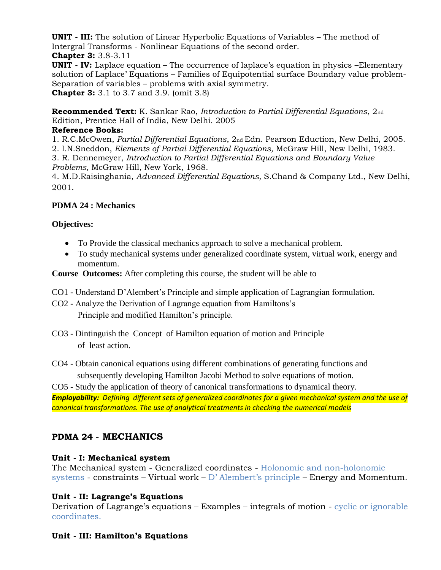**UNIT - III:** The solution of Linear Hyperbolic Equations of Variables – The method of Intergral Transforms - Nonlinear Equations of the second order. **Chapter 3:** 3.8-3.11

**UNIT - IV:** Laplace equation – The occurrence of laplace's equation in physics –Elementary solution of Laplace' Equations – Families of Equipotential surface Boundary value problem-Separation of variables – problems with axial symmetry. **Chapter 3:** 3.1 to 3.7 and 3.9. (omit 3.8)

**Recommended Text:** K. Sankar Rao, *Introduction to Partial Differential Equations*, 2nd Edition, Prentice Hall of India, New Delhi. 2005

## **Reference Books:**

1. R.C.McOwen, *Partial Differential Equations*, 2nd Edn. Pearson Eduction, New Delhi, 2005.

2. I.N.Sneddon, *Elements of Partial Differential Equations,* McGraw Hill, New Delhi, 1983.

3. R. Dennemeyer, *Introduction to Partial Differential Equations and Boundary Value Problems,* McGraw Hill, New York, 1968.

4. M.D.Raisinghania, *Advanced Differential Equations,* S.Chand & Company Ltd., New Delhi, 2001.

## **PDMA 24 : Mechanics**

## **Objectives:**

- To Provide the classical mechanics approach to solve a mechanical problem.
- To study mechanical systems under generalized coordinate system, virtual work, energy and momentum.

**Course Outcomes:** After completing this course, the student will be able to

- CO1 Understand D'Alembert's Principle and simple application of Lagrangian formulation.
- CO2 Analyze the Derivation of Lagrange equation from Hamiltons's Principle and modified Hamilton's principle.
- CO3 Dintinguish the Concept of Hamilton equation of motion and Principle of least action.
- CO4 Obtain canonical equations using different combinations of generating functions and subsequently developing Hamilton Jacobi Method to solve equations of motion.

CO5 - Study the application of theory of canonical transformations to dynamical theory. *Employability: Defining different sets of generalized coordinates for a given mechanical system and the use of canonical transformations. The use of analytical treatments in checking the numerical models*

# **PDMA 24** - **MECHANICS**

## **Unit - I: Mechanical system**

The Mechanical system - Generalized coordinates - Holonomic and non-holonomic systems - constraints – Virtual work – D' Alembert's principle – Energy and Momentum.

## **Unit - II: Lagrange's Equations**

Derivation of Lagrange's equations – Examples – integrals of motion - cyclic or ignorable coordinates.

## **Unit - III: Hamilton's Equations**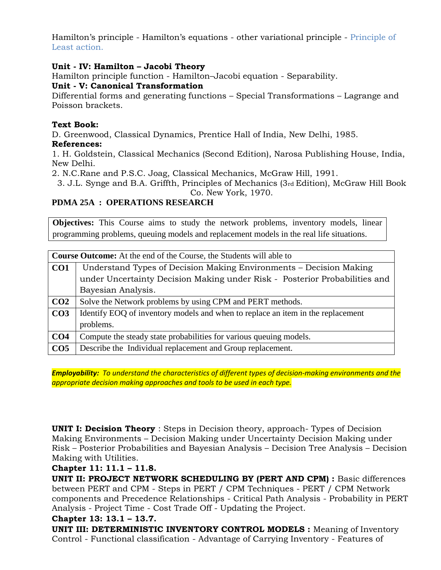Hamilton's principle - Hamilton's equations - other variational principle - Principle of Least action.

#### **Unit - IV: Hamilton – Jacobi Theory**

Hamilton principle function - Hamilton–Jacobi equation - Separability.

#### **Unit - V: Canonical Transformation**

Differential forms and generating functions – Special Transformations – Lagrange and Poisson brackets.

#### **Text Book:**

D. Greenwood, Classical Dynamics, Prentice Hall of India, New Delhi, 1985.

#### **References:**

1. H. Goldstein, Classical Mechanics (Second Edition), Narosa Publishing House, India, New Delhi.

2. N.C.Rane and P.S.C. Joag, Classical Mechanics, McGraw Hill, 1991.

3. J.L. Synge and B.A. Griffth, Principles of Mechanics (3rd Edition), McGraw Hill Book Co. New York, 1970.

## **PDMA 25A : OPERATIONS RESEARCH**

**Objectives:** This Course aims to study the network problems, inventory models, linear programming problems, queuing models and replacement models in the real life situations.

|                 | <b>Course Outcome:</b> At the end of the Course, the Students will able to      |  |
|-----------------|---------------------------------------------------------------------------------|--|
| CO <sub>1</sub> | Understand Types of Decision Making Environments - Decision Making              |  |
|                 | under Uncertainty Decision Making under Risk - Posterior Probabilities and      |  |
|                 | Bayesian Analysis.                                                              |  |
| CO <sub>2</sub> | Solve the Network problems by using CPM and PERT methods.                       |  |
| CO <sub>3</sub> | Identify EOQ of inventory models and when to replace an item in the replacement |  |
|                 | problems.                                                                       |  |
| CO <sub>4</sub> | Compute the steady state probabilities for various queuing models.              |  |
| CO <sub>5</sub> | Describe the Individual replacement and Group replacement.                      |  |

*Employability: To understand the characteristics of different types of decision-making environments and the appropriate decision making approaches and tools to be used in each type.*

**UNIT I: Decision Theory** : Steps in Decision theory, approach- Types of Decision Making Environments – Decision Making under Uncertainty Decision Making under Risk – Posterior Probabilities and Bayesian Analysis – Decision Tree Analysis – Decision Making with Utilities.

## **Chapter 11: 11.1 – 11.8.**

**UNIT II: PROJECT NETWORK SCHEDULING BY (PERT AND CPM) :** Basic differences between PERT and CPM - Steps in PERT / CPM Techniques - PERT / CPM Network components and Precedence Relationships - Critical Path Analysis - Probability in PERT Analysis - Project Time - Cost Trade Off - Updating the Project.

## **Chapter 13: 13.1 – 13.7.**

**UNIT III: DETERMINISTIC INVENTORY CONTROL MODELS :** Meaning of Inventory Control - Functional classification - Advantage of Carrying Inventory - Features of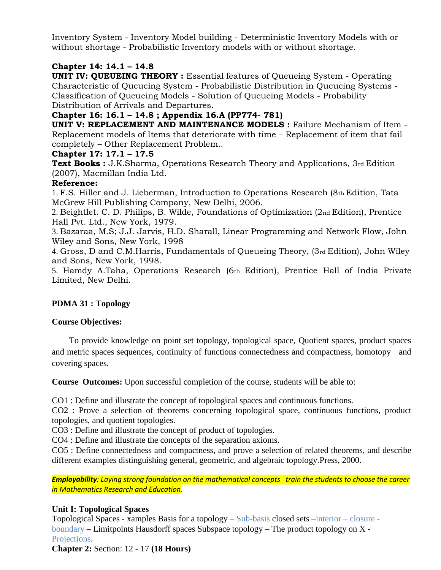Inventory System - Inventory Model building - Deterministic Inventory Models with or without shortage - Probabilistic Inventory models with or without shortage.

## **Chapter 14: 14.1 – 14.8**

**UNIT IV: QUEUEING THEORY** : Essential features of Oueueing System - Operating Characteristic of Queueing System - Probabilistic Distribution in Queueing Systems - Classification of Queueing Models - Solution of Queueing Models - Probability Distribution of Arrivals and Departures.

#### **Chapter 16: 16.1 – 14.8 ; Appendix 16.A (PP774- 781)**

**UNIT V: REPLACEMENT AND MAINTENANCE MODELS :** Failure Mechanism of Item -Replacement models of Items that deteriorate with time – Replacement of item that fail completely – Other Replacement Problem..

#### **Chapter 17: 17.1 – 17.5**

**Text Books :** J.K.Sharma, Operations Research Theory and Applications, 3rd Edition (2007), Macmillan India Ltd.

#### **Reference:**

1. F.S. Hiller and J. Lieberman, Introduction to Operations Research (8th Edition, Tata McGrew Hill Publishing Company, New Delhi, 2006.

2. Beightlet. C. D. Philips, B. Wilde, Foundations of Optimization (2nd Edition), Prentice Hall Pvt. Ltd., New York, 1979.

3. Bazaraa, M.S; J.J. Jarvis, H.D. Sharall, Linear Programming and Network Flow, John Wiley and Sons, New York, 1998

4. Gross, D and C.M.Harris, Fundamentals of Queueing Theory, (3rd Edition), John Wiley and Sons, New York, 1998.

5. Hamdy A.Taha, Operations Research (6th Edition), Prentice Hall of India Private Limited, New Delhi.

## **PDMA 31 : Topology**

## **Course Objectives:**

 To provide knowledge on point set topology, topological space, Quotient spaces, product spaces and metric spaces sequences, continuity of functions connectedness and compactness, homotopy and covering spaces.

**Course Outcomes:** Upon successful completion of the course, students will be able to:

CO1 : Define and illustrate the concept of topological spaces and continuous functions.

CO2 : Prove a selection of theorems concerning topological space, continuous functions, product topologies, and quotient topologies.

CO3 : Define and illustrate the concept of product of topologies.

CO4 : Define and illustrate the concepts of the separation axioms.

CO5 : Define connectedness and compactness, and prove a selection of related theorems, and describe different examples distinguishing general, geometric, and algebraic topology.Press, 2000.

*Employability: Laying strong foundation on the mathematical concepts train the students to choose the career in Mathematics Research and Education*.

## **Unit I: Topological Spaces**

Topological Spaces - xamples Basis for a topology – Sub-basis closed sets –interior – closure boundary – Limitpoints Hausdorff spaces Subspace topology – The product topology on X - Projections.

**Chapter 2:** Section: 12 - 17 **(18 Hours)**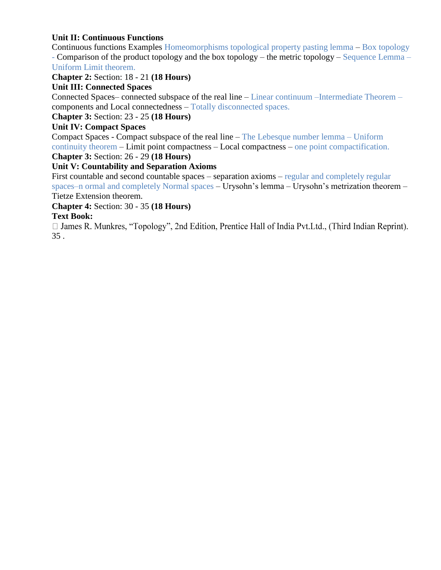## **Unit II: Continuous Functions**

Continuous functions Examples Homeomorphisms topological property pasting lemma – Box topology - Comparison of the product topology and the box topology – the metric topology – Sequence Lemma – Uniform Limit theorem.

**Chapter 2:** Section: 18 - 21 **(18 Hours)** 

## **Unit III: Connected Spaces**

Connected Spaces– connected subspace of the real line – Linear continuum –Intermediate Theorem – components and Local connectedness – Totally disconnected spaces.

## **Chapter 3:** Section: 23 - 25 **(18 Hours)**

## **Unit IV: Compact Spaces**

Compact Spaces - Compact subspace of the real line – The Lebesque number lemma – Uniform continuity theorem – Limit point compactness – Local compactness – one point compactification. **Chapter 3:** Section: 26 - 29 **(18 Hours)** 

# **Unit V: Countability and Separation Axioms**

First countable and second countable spaces – separation axioms – regular and completely regular spaces–n ormal and completely Normal spaces – Urysohn's lemma – Urysohn's metrization theorem – Tietze Extension theorem.

#### **Chapter 4:** Section: 30 - 35 **(18 Hours)**

Text Book:<br>□ James R. Munkres, "Topology", 2nd Edition, Prentice Hall of India Pvt.Ltd., (Third Indian Reprint). 35 .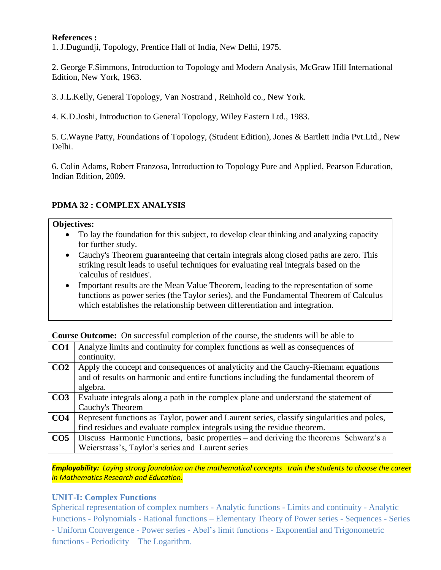#### **References :**

1. J.Dugundji, Topology, Prentice Hall of India, New Delhi, 1975.

2. George F.Simmons, Introduction to Topology and Modern Analysis, McGraw Hill International Edition, New York, 1963.

3. J.L.Kelly, General Topology, Van Nostrand , Reinhold co., New York.

4. K.D.Joshi, Introduction to General Topology, Wiley Eastern Ltd., 1983.

5. C.Wayne Patty, Foundations of Topology, (Student Edition), Jones & Bartlett India Pvt.Ltd., New Delhi.

6. Colin Adams, Robert Franzosa, Introduction to Topology Pure and Applied, Pearson Education, Indian Edition, 2009.

#### **PDMA 32 : COMPLEX ANALYSIS**

#### **Objectives:**

- To lay the foundation for this subject, to develop clear thinking and analyzing capacity for further study.
- Cauchy's Theorem guaranteeing that certain integrals along closed paths are zero. This striking result leads to useful techniques for evaluating real integrals based on the 'calculus of residues'.
- Important results are the Mean Value Theorem, leading to the representation of some functions as power series (the Taylor series), and the Fundamental Theorem of Calculus which establishes the relationship between differentiation and integration.

|                 | <b>Course Outcome:</b> On successful completion of the course, the students will be able to |  |
|-----------------|---------------------------------------------------------------------------------------------|--|
| CO <sub>1</sub> | Analyze limits and continuity for complex functions as well as consequences of              |  |
|                 | continuity.                                                                                 |  |
| CO <sub>2</sub> | Apply the concept and consequences of analyticity and the Cauchy-Riemann equations          |  |
|                 | and of results on harmonic and entire functions including the fundamental theorem of        |  |
|                 | algebra.                                                                                    |  |
| CO <sub>3</sub> | Evaluate integrals along a path in the complex plane and understand the statement of        |  |
|                 | Cauchy's Theorem                                                                            |  |
| CO <sub>4</sub> | Represent functions as Taylor, power and Laurent series, classify singularities and poles,  |  |
|                 | find residues and evaluate complex integrals using the residue theorem.                     |  |
| CO <sub>5</sub> | Discuss Harmonic Functions, basic properties – and deriving the theorems Schwarz's a        |  |
|                 | Weierstrass's, Taylor's series and Laurent series                                           |  |

*Employability: Laying strong foundation on the mathematical concepts train the students to choose the career in Mathematics Research and Education.*

#### **UNIT-I: Complex Functions**

Spherical representation of complex numbers - Analytic functions - Limits and continuity - Analytic Functions - Polynomials - Rational functions – Elementary Theory of Power series - Sequences - Series - Uniform Convergence - Power series - Abel's limit functions - Exponential and Trigonometric functions - Periodicity – The Logarithm.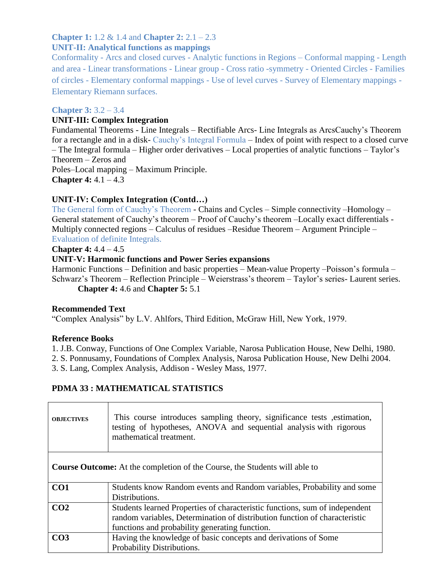## **Chapter 1:** 1.2 & 1.4 and **Chapter 2:** 2.1 – 2.3

## **UNIT-II: Analytical functions as mappings**

Conformality - Arcs and closed curves - Analytic functions in Regions – Conformal mapping - Length and area - Linear transformations - Linear group - Cross ratio -symmetry - Oriented Circles - Families of circles - Elementary conformal mappings - Use of level curves - Survey of Elementary mappings - Elementary Riemann surfaces.

#### **Chapter 3:** 3.2 – 3.4

#### **UNIT-III: Complex Integration**

Fundamental Theorems - Line Integrals – Rectifiable Arcs- Line Integrals as ArcsCauchy's Theorem for a rectangle and in a disk- Cauchy's Integral Formula – Index of point with respect to a closed curve – The Integral formula – Higher order derivatives – Local properties of analytic functions – Taylor's Theorem – Zeros and Poles–Local mapping – Maximum Principle. **Chapter 4:** 4.1 – 4.3

## **UNIT-IV: Complex Integration (Contd…)**

The General form of Cauchy's Theorem - Chains and Cycles – Simple connectivity –Homology – General statement of Cauchy's theorem – Proof of Cauchy's theorem –Locally exact differentials - Multiply connected regions – Calculus of residues –Residue Theorem – Argument Principle – Evaluation of definite Integrals.

#### **Chapter 4:** 4.4 – 4.5

## **UNIT-V: Harmonic functions and Power Series expansions**

Harmonic Functions – Definition and basic properties – Mean-value Property –Poisson's formula – Schwarz's Theorem – Reflection Principle – Weierstrass's theorem – Taylor's series- Laurent series. **Chapter 4:** 4.6 and **Chapter 5:** 5.1

#### **Recommended Text**

"Complex Analysis" by L.V. Ahlfors, Third Edition, McGraw Hill, New York, 1979.

## **Reference Books**

1. J.B. Conway, Functions of One Complex Variable, Narosa Publication House, New Delhi, 1980.

2. S. Ponnusamy, Foundations of Complex Analysis, Narosa Publication House, New Delhi 2004.

3. S. Lang, Complex Analysis, Addison - Wesley Mass, 1977.

## **PDMA 33 : MATHEMATICAL STATISTICS**

| <b>OBJECTIVES</b> | This course introduces sampling theory, significance tests estimation,<br>testing of hypotheses, ANOVA and sequential analysis with rigorous<br>mathematical treatment. |
|-------------------|-------------------------------------------------------------------------------------------------------------------------------------------------------------------------|
|                   | <b>Course Outcome:</b> At the completion of the Course, the Students will able to                                                                                       |
| CO <sub>1</sub>   | Students know Random events and Random variables, Probability and some                                                                                                  |
|                   | Distributions.                                                                                                                                                          |
| CO <sub>2</sub>   | Students learned Properties of characteristic functions, sum of independent                                                                                             |
|                   | random variables, Determination of distribution function of characteristic                                                                                              |
|                   | functions and probability generating function.                                                                                                                          |
|                   |                                                                                                                                                                         |
| CO <sub>3</sub>   | Having the knowledge of basic concepts and derivations of Some                                                                                                          |
|                   | Probability Distributions.                                                                                                                                              |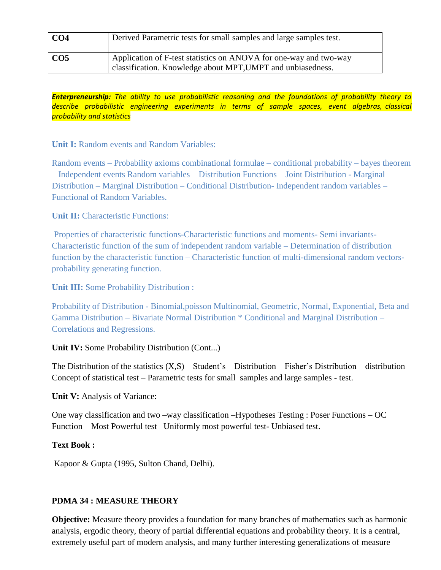| CO <sub>4</sub> | Derived Parametric tests for small samples and large samples test.                                                               |
|-----------------|----------------------------------------------------------------------------------------------------------------------------------|
| CO5             | Application of F-test statistics on ANOVA for one-way and two-way<br>classification. Knowledge about MPT, UMPT and unbiasedness. |

*Enterpreneurship: The ability to use probabilistic reasoning and the foundations of probability theory to describe probabilistic engineering experiments in terms of sample spaces, event algebras, classical probability and statistics*

**Unit I:** Random events and Random Variables:

Random events – Probability axioms combinational formulae – conditional probability – bayes theorem – Independent events Random variables – Distribution Functions – Joint Distribution - Marginal Distribution – Marginal Distribution – Conditional Distribution- Independent random variables – Functional of Random Variables.

**Unit II:** Characteristic Functions:

Properties of characteristic functions-Characteristic functions and moments- Semi invariants-Characteristic function of the sum of independent random variable – Determination of distribution function by the characteristic function – Characteristic function of multi-dimensional random vectorsprobability generating function.

**Unit III:** Some Probability Distribution :

Probability of Distribution - Binomial,poisson Multinomial, Geometric, Normal, Exponential, Beta and Gamma Distribution – Bivariate Normal Distribution \* Conditional and Marginal Distribution – Correlations and Regressions.

**Unit IV:** Some Probability Distribution (Cont...)

The Distribution of the statistics  $(X, S)$  – Student's – Distribution – Fisher's Distribution – distribution – Concept of statistical test – Parametric tests for small samples and large samples - test.

**Unit V:** Analysis of Variance:

One way classification and two –way classification –Hypotheses Testing : Poser Functions – OC Function – Most Powerful test –Uniformly most powerful test- Unbiased test.

## **Text Book :**

Kapoor & Gupta (1995, Sulton Chand, Delhi).

## **PDMA 34 : MEASURE THEORY**

**Objective:** Measure theory provides a foundation for many branches of mathematics such as harmonic analysis, ergodic theory, theory of partial differential equations and probability theory. It is a central, extremely useful part of modern analysis, and many further interesting generalizations of measure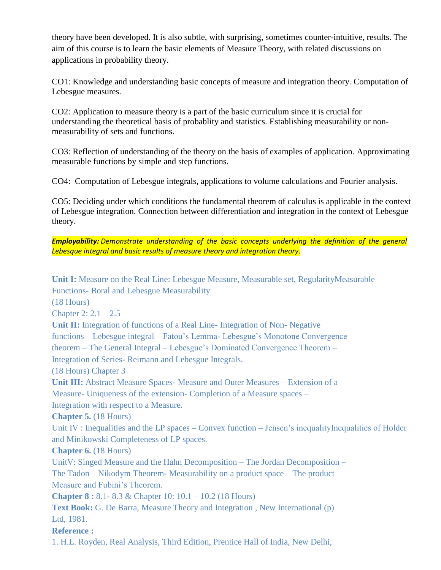theory have been developed. It is also subtle, with surprising, sometimes counter-intuitive, results. The aim of this course is to learn the basic elements of Measure Theory, with related discussions on applications in probability theory.

CO1: Knowledge and understanding basic concepts of measure and integration theory. Computation of Lebesgue measures.

CO2: Application to measure theory is a part of the basic curriculum since it is crucial for understanding the theoretical basis of probablity and statistics. Establishing measurability or nonmeasurability of sets and functions.

CO3: Reflection of understanding of the theory on the basis of examples of application. Approximating measurable functions by simple and step functions.

CO4: Computation of Lebesgue integrals, applications to volume calculations and Fourier analysis.

CO5: Deciding under which conditions the fundamental theorem of calculus is applicable in the context of Lebesgue integration. Connection between differentiation and integration in the context of Lebesgue theory.

*Employability: Demonstrate understanding of the basic concepts underlying the definition of the general Lebesque integral and basic results of measure theory and integration theory*.

**Unit I:** Measure on the Real Line: Lebesgue Measure, Measurable set, RegularityMeasurable Functions- Boral and Lebesgue Measurability (18 Hours) Chapter 2:  $2.1 - 2.5$ **Unit II:** Integration of functions of a Real Line- Integration of Non- Negative functions – Lebesgue integral – Fatou's Lemma- Lebesgue's Monotone Convergence theorem – The General Integral – Lebesgue's Dominated Convergence Theorem – Integration of Series- Reimann and Lebesgue Integrals. (18 Hours) Chapter 3 Unit III: Abstract Measure Spaces- Measure and Outer Measures – Extension of a Measure- Uniqueness of the extension- Completion of a Measure spaces – Integration with respect to a Measure. **Chapter 5.** (18 Hours) Unit IV : Inequalities and the LP spaces – Convex function – Jensen's inequalityInequalities of Holder and Minikowski Completeness of LP spaces. **Chapter 6.** (18 Hours) UnitV: Singed Measure and the Hahn Decomposition – The Jordan Decomposition – The Tadon – Nikodym Theorem- Measurability on a product space – The product Measure and Fubini's Theorem. **Chapter 8 :** 8.1- 8.3 & Chapter 10: 10.1 – 10.2 (18 Hours) **Text Book:** G. De Barra, Measure Theory and Integration , New International (p) Ltd, 1981. **Reference :** 1. H.L. Royden, Real Analysis, Third Edition, Prentice Hall of India, New Delhi,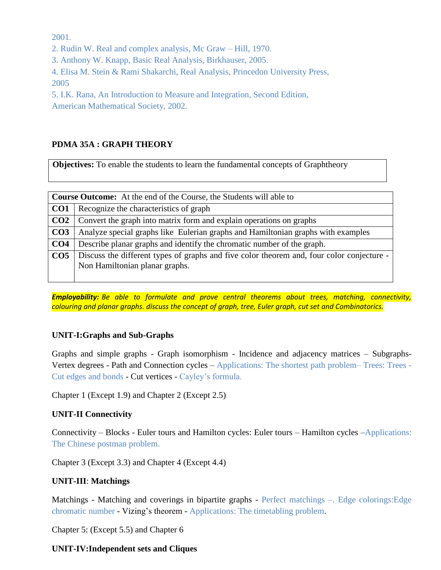2001.

2. Rudin W. Real and complex analysis, Mc Graw – Hill, 1970.

3. Anthony W. Knapp, Basic Real Analysis, Birkhauser, 2005.

4. Elisa M. Stein & Rami Shakarchi, Real Analysis, Princedon University Press, 2005

5. I.K. Rana, An Introduction to Measure and Integration, Second Edition, American Mathematical Society, 2002.

## **PDMA 35A : GRAPH THEORY**

**Objectives:** To enable the students to learn the fundamental concepts of Graphtheory

|                 | <b>Course Outcome:</b> At the end of the Course, the Students will able to                |  |
|-----------------|-------------------------------------------------------------------------------------------|--|
| CO <sub>1</sub> | Recognize the characteristics of graph                                                    |  |
| CO <sub>2</sub> | Convert the graph into matrix form and explain operations on graphs                       |  |
| CO <sub>3</sub> | Analyze special graphs like Eulerian graphs and Hamiltonian graphs with examples          |  |
| CO <sub>4</sub> | Describe planar graphs and identify the chromatic number of the graph.                    |  |
| CO <sub>5</sub> | Discuss the different types of graphs and five color theorem and, four color conjecture - |  |
|                 | Non Hamiltonian planar graphs.                                                            |  |
|                 |                                                                                           |  |

*Employability: Be able to formulate and prove central theorems about trees, matching, connectivity, colouring and planar graphs. discuss the concept of graph, tree, Euler graph, cut set and Combinatorics.*

## **UNIT-I:Graphs and Sub-Graphs**

Graphs and simple graphs - Graph isomorphism - Incidence and adjacency matrices – Subgraphs-Vertex degrees - Path and Connection cycles – Applications: The shortest path problem– Trees: Trees - Cut edges and bonds - Cut vertices - Cayley's formula.

Chapter 1 (Except 1.9) and Chapter 2 (Except 2.5)

## **UNIT-II Connectivity**

Connectivity – Blocks - Euler tours and Hamilton cycles: Euler tours – Hamilton cycles –Applications: The Chinese postman problem.

Chapter 3 (Except 3.3) and Chapter 4 (Except 4.4)

## **UNIT-III**: **Matchings**

Matchings - Matching and coverings in bipartite graphs - Perfect matchings –. Edge colorings:Edge chromatic number - Vizing's theorem - Applications: The timetabling problem.

Chapter 5: (Except 5.5) and Chapter 6

## **UNIT-IV:Independent sets and Cliques**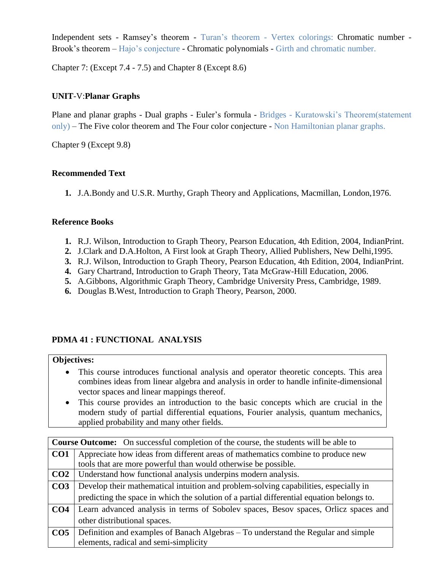Independent sets - Ramsey's theorem - Turan's theorem - Vertex colorings: Chromatic number - Brook's theorem – Hajo's conjecture - Chromatic polynomials - Girth and chromatic number.

Chapter 7: (Except 7.4 - 7.5) and Chapter 8 (Except 8.6)

## **UNIT**-V:**Planar Graphs**

Plane and planar graphs - Dual graphs - Euler's formula - Bridges - Kuratowski's Theorem(statement only) – The Five color theorem and The Four color conjecture - Non Hamiltonian planar graphs.

Chapter 9 (Except 9.8)

## **Recommended Text**

**1.** J.A.Bondy and U.S.R. Murthy, Graph Theory and Applications, Macmillan, London,1976.

## **Reference Books**

- **1.** R.J. Wilson, Introduction to Graph Theory, Pearson Education, 4th Edition, 2004, IndianPrint.
- **2.** J.Clark and D.A.Holton, A First look at Graph Theory, Allied Publishers, New Delhi,1995.
- **3.** R.J. Wilson, Introduction to Graph Theory, Pearson Education, 4th Edition, 2004, IndianPrint.
- **4.** Gary Chartrand, Introduction to Graph Theory, Tata McGraw-Hill Education, 2006.
- **5.** A.Gibbons, Algorithmic Graph Theory, Cambridge University Press, Cambridge, 1989.
- **6.** Douglas B.West, Introduction to Graph Theory, Pearson, 2000.

## **PDMA 41 : FUNCTIONAL ANALYSIS**

## **Objectives:**

- This course introduces functional analysis and operator theoretic concepts. This area combines ideas from linear algebra and analysis in order to handle infinite-dimensional vector spaces and linear mappings thereof.
- This course provides an introduction to the basic concepts which are crucial in the modern study of partial differential equations, Fourier analysis, quantum mechanics, applied probability and many other fields.

| <b>Course Outcome:</b> On successful completion of the course, the students will be able to |                                                                                           |  |
|---------------------------------------------------------------------------------------------|-------------------------------------------------------------------------------------------|--|
| CO <sub>1</sub>                                                                             | Appreciate how ideas from different areas of mathematics combine to produce new           |  |
|                                                                                             | tools that are more powerful than would otherwise be possible.                            |  |
| CO <sub>2</sub>                                                                             | Understand how functional analysis underpins modern analysis.                             |  |
| CO <sub>3</sub>                                                                             | Develop their mathematical intuition and problem-solving capabilities, especially in      |  |
|                                                                                             | predicting the space in which the solution of a partial differential equation belongs to. |  |
| CO <sub>4</sub>                                                                             | Learn advanced analysis in terms of Sobolev spaces, Besov spaces, Orlicz spaces and       |  |
|                                                                                             | other distributional spaces.                                                              |  |
| CO <sub>5</sub>                                                                             | Definition and examples of Banach Algebras – To understand the Regular and simple         |  |
|                                                                                             | elements, radical and semi-simplicity                                                     |  |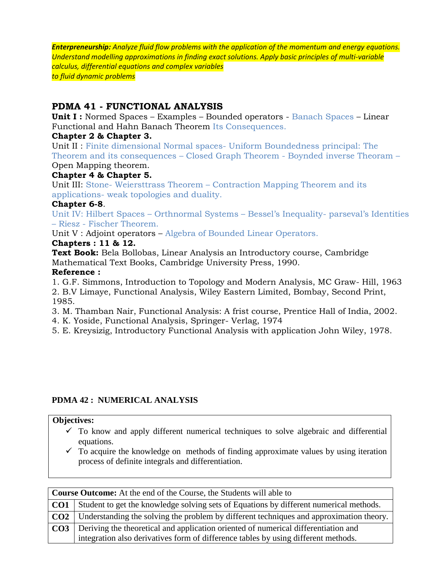*Enterpreneurship: Analyze fluid flow problems with the application of the momentum and energy equations. Understand modelling approximations in finding exact solutions. Apply basic principles of multi-variable calculus, differential equations and complex variables to fluid dynamic problems*

## **PDMA 41 - FUNCTIONAL ANALYSIS**

**Unit I :** Normed Spaces – Examples – Bounded operators - Banach Spaces – Linear Functional and Hahn Banach Theorem Its Consequences.

## **Chapter 2 & Chapter 3.**

Unit II : Finite dimensional Normal spaces- Uniform Boundedness principal: The Theorem and its consequences – Closed Graph Theorem - Boynded inverse Theoram – Open Mapping theorem.

## **Chapter 4 & Chapter 5.**

Unit III: Stone- Weiersttrass Theorem – Contraction Mapping Theorem and its applications- weak topologies and duality.

## **Chapter 6-8**.

Unit IV: Hilbert Spaces – Orthnormal Systems – Bessel's Inequality- parseval's Identities – Riesz - Fischer Theorem.

Unit V : Adjoint operators – Algebra of Bounded Linear Operators.

## **Chapters : 11 & 12.**

**Text Book:** Bela Bollobas, Linear Analysis an Introductory course, Cambridge Mathematical Text Books, Cambridge University Press, 1990.

## **Reference :**

1. G.F. Simmons, Introduction to Topology and Modern Analysis, MC Graw- Hill, 1963 2. B.V Limaye, Functional Analysis, Wiley Eastern Limited, Bombay, Second Print, 1985.

3. M. Thamban Nair, Functional Analysis: A frist course, Prentice Hall of India, 2002.

4. K. Yoside, Functional Analysis, Springer- Verlag, 1974

5. E. Kreysizig, Introductory Functional Analysis with application John Wiley, 1978.

## **PDMA 42 : NUMERICAL ANALYSIS**

## **Objectives:**

- $\checkmark$  To know and apply different numerical techniques to solve algebraic and differential equations.
- $\checkmark$  To acquire the knowledge on methods of finding approximate values by using iteration process of definite integrals and differentiation.

| <b>Course Outcome:</b> At the end of the Course, the Students will able to |                                                                                                      |  |
|----------------------------------------------------------------------------|------------------------------------------------------------------------------------------------------|--|
|                                                                            | <b>CO1</b> Student to get the knowledge solving sets of Equations by different numerical methods.    |  |
|                                                                            | <b>CO2</b>   Understanding the solving the problem by different techniques and approximation theory. |  |
|                                                                            | CO3   Deriving the theoretical and application oriented of numerical differentiation and             |  |
|                                                                            | integration also derivatives form of difference tables by using different methods.                   |  |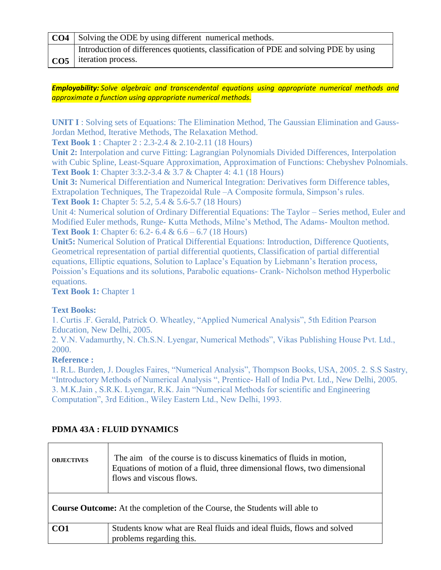| <b>CO4</b> Solving the ODE by using different numerical methods.                      |  |
|---------------------------------------------------------------------------------------|--|
| Introduction of differences quotients, classification of PDE and solving PDE by using |  |
| $\cos$   iteration process.                                                           |  |

#### *Employability: Solve algebraic and transcendental equations using appropriate numerical methods and approximate a function using appropriate numerical methods.*

**UNIT I**: Solving sets of Equations: The Elimination Method, The Gaussian Elimination and Gauss-Jordan Method, Iterative Methods, The Relaxation Method.

**Text Book 1** : Chapter 2 : 2.3-2.4 & 2.10-2.11 (18 Hours)

**Unit 2:** Interpolation and curve Fitting: Lagrangian Polynomials Divided Differences, Interpolation with Cubic Spline, Least-Square Approximation, Approximation of Functions: Chebyshev Polnomials. **Text Book 1**: Chapter 3:3.2-3.4 & 3.7 & Chapter 4: 4.1 (18 Hours)

**Unit 3:** Numerical Differentiation and Numerical Integration: Derivatives form Difference tables, Extrapolation Techniques, The Trapezoidal Rule –A Composite formula, Simpson's rules. **Text Book 1:** Chapter 5: 5.2, 5.4 & 5.6-5.7 (18 Hours)

Unit 4: Numerical solution of Ordinary Differential Equations: The Taylor – Series method, Euler and Modified Euler methods, Runge- Kutta Methods, Milne's Method, The Adams- Moulton method. **Text Book 1**: Chapter 6: 6.2- 6.4 & 6.6 – 6.7 (18 Hours)

**Unit5:** Numerical Solution of Pratical Differential Equations: Introduction, Difference Quotients, Geometrical representation of partial differential quotients, Classification of partial differential equations, Elliptic equations, Solution to Laplace's Equation by Liebmann's Iteration process, Poission's Equations and its solutions, Parabolic equations- Crank- Nicholson method Hyperbolic equations.

**Text Book 1: Chapter 1** 

## **Text Books:**

1. Curtis .F. Gerald, Patrick O. Wheatley, "Applied Numerical Analysis", 5th Edition Pearson Education, New Delhi, 2005.

2. V.N. Vadamurthy, N. Ch.S.N. Lyengar, Numerical Methods", Vikas Publishing House Pvt. Ltd., 2000.

## **Reference :**

1. R.L. Burden, J. Dougles Faires, "Numerical Analysis", Thompson Books, USA, 2005. 2. S.S Sastry, "Introductory Methods of Numerical Analysis ", Prentice- Hall of India Pvt. Ltd., New Delhi, 2005. 3. M.K.Jain , S.R.K. Lyengar, R.K. Jain "Numerical Methods for scientific and Engineering Computation", 3rd Edition., Wiley Eastern Ltd., New Delhi, 1993.

# **PDMA 43A : FLUID DYNAMICS**

| <b>OBJECTIVES</b>                                                                 | The aim of the course is to discuss kinematics of fluids in motion,<br>Equations of motion of a fluid, three dimensional flows, two dimensional<br>flows and viscous flows. |  |  |  |
|-----------------------------------------------------------------------------------|-----------------------------------------------------------------------------------------------------------------------------------------------------------------------------|--|--|--|
| <b>Course Outcome:</b> At the completion of the Course, the Students will able to |                                                                                                                                                                             |  |  |  |
| CO <sub>1</sub>                                                                   | Students know what are Real fluids and ideal fluids, flows and solved<br>problems regarding this.                                                                           |  |  |  |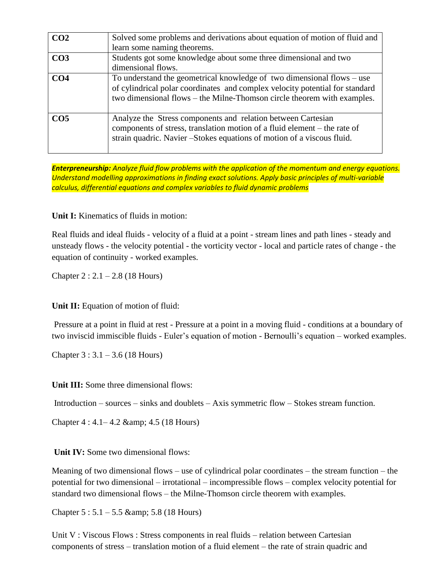| CO <sub>2</sub> | Solved some problems and derivations about equation of motion of fluid and                                                                                                                                                          |
|-----------------|-------------------------------------------------------------------------------------------------------------------------------------------------------------------------------------------------------------------------------------|
|                 | learn some naming theorems.                                                                                                                                                                                                         |
| CO <sub>3</sub> | Students got some knowledge about some three dimensional and two                                                                                                                                                                    |
|                 | dimensional flows.                                                                                                                                                                                                                  |
| CO <sub>4</sub> | To understand the geometrical knowledge of two dimensional flows $-$ use<br>of cylindrical polar coordinates and complex velocity potential for standard<br>two dimensional flows – the Milne-Thomson circle theorem with examples. |
| CO <sub>5</sub> | Analyze the Stress components and relation between Cartesian<br>components of stress, translation motion of a fluid element – the rate of<br>strain quadric. Navier – Stokes equations of motion of a viscous fluid.                |

*Enterpreneurship: Analyze fluid flow problems with the application of the momentum and energy equations. Understand modelling approximations in finding exact solutions. Apply basic principles of multi-variable calculus, differential equations and complex variables to fluid dynamic problems*

**Unit I:** Kinematics of fluids in motion:

Real fluids and ideal fluids - velocity of a fluid at a point - stream lines and path lines - steady and unsteady flows - the velocity potential - the vorticity vector - local and particle rates of change - the equation of continuity - worked examples.

Chapter  $2: 2.1 - 2.8$  (18 Hours)

**Unit II:** Equation of motion of fluid:

Pressure at a point in fluid at rest - Pressure at a point in a moving fluid - conditions at a boundary of two inviscid immiscible fluids - Euler's equation of motion - Bernoulli's equation – worked examples.

Chapter  $3:3.1 - 3.6$  (18 Hours)

**Unit III:** Some three dimensional flows:

Introduction – sources – sinks and doublets – Axis symmetric flow – Stokes stream function.

Chapter  $4:4.1-4.2$  & amp;  $4.5$  (18 Hours)

**Unit IV:** Some two dimensional flows:

Meaning of two dimensional flows – use of cylindrical polar coordinates – the stream function – the potential for two dimensional – irrotational – incompressible flows – complex velocity potential for standard two dimensional flows – the Milne-Thomson circle theorem with examples.

Chapter  $5: 5.1 - 5.5$  & amp;  $5.8$  (18 Hours)

Unit V : Viscous Flows : Stress components in real fluids – relation between Cartesian components of stress – translation motion of a fluid element – the rate of strain quadric and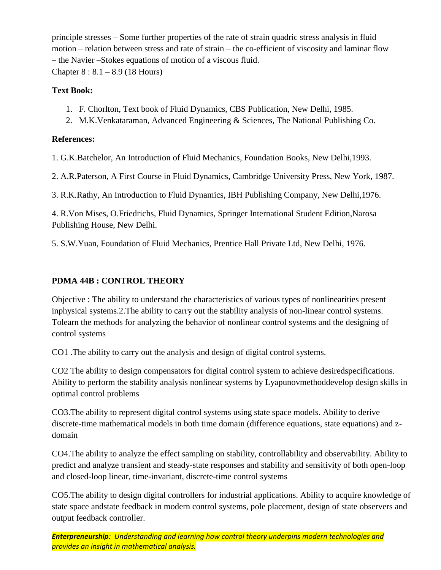principle stresses – Some further properties of the rate of strain quadric stress analysis in fluid motion – relation between stress and rate of strain – the co-efficient of viscosity and laminar flow – the Navier –Stokes equations of motion of a viscous fluid. Chapter 8 : 8.1 – 8.9 (18 Hours)

## **Text Book:**

- 1. F. Chorlton, Text book of Fluid Dynamics, CBS Publication, New Delhi, 1985.
- 2. M.K.Venkataraman, Advanced Engineering & Sciences, The National Publishing Co.

## **References:**

1. G.K.Batchelor, An Introduction of Fluid Mechanics, Foundation Books, New Delhi,1993.

2. A.R.Paterson, A First Course in Fluid Dynamics, Cambridge University Press, New York, 1987.

3. R.K.Rathy, An Introduction to Fluid Dynamics, IBH Publishing Company, New Delhi,1976.

4. R.Von Mises, O.Friedrichs, Fluid Dynamics, Springer International Student Edition,Narosa Publishing House, New Delhi.

5. S.W.Yuan, Foundation of Fluid Mechanics, Prentice Hall Private Ltd, New Delhi, 1976.

## **PDMA 44B : CONTROL THEORY**

Objective : The ability to understand the characteristics of various types of nonlinearities present inphysical systems.2.The ability to carry out the stability analysis of non-linear control systems. Tolearn the methods for analyzing the behavior of nonlinear control systems and the designing of control systems

CO1 .The ability to carry out the analysis and design of digital control systems.

CO2 The ability to design compensators for digital control system to achieve desiredspecifications. Ability to perform the stability analysis nonlinear systems by Lyapunovmethoddevelop design skills in optimal control problems

CO3.The ability to represent digital control systems using state space models. Ability to derive discrete-time mathematical models in both time domain (difference equations, state equations) and zdomain

CO4.The ability to analyze the effect sampling on stability, controllability and observability. Ability to predict and analyze transient and steady-state responses and stability and sensitivity of both open-loop and closed-loop linear, time-invariant, discrete-time control systems

CO5.The ability to design digital controllers for industrial applications. Ability to acquire knowledge of state space andstate feedback in modern control systems, pole placement, design of state observers and output feedback controller.

*Enterpreneurship: Understanding and learning how control theory underpins modern technologies and provides an insight in mathematical analysis.*